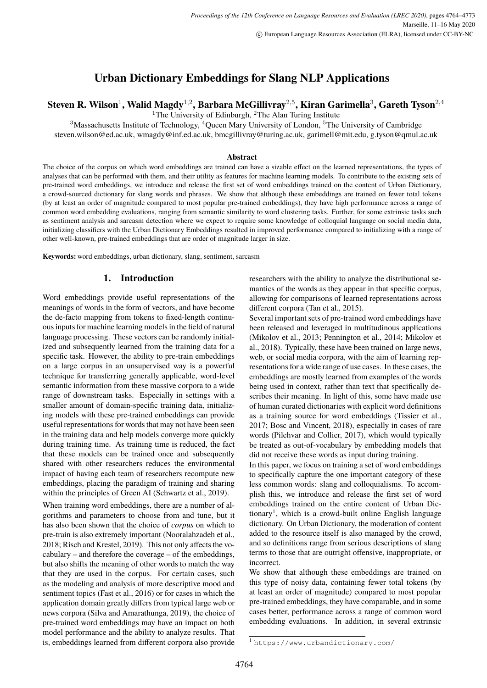# **Urban Dictionary Embeddings for Slang NLP Applications**

## <span id="page-0-0"></span> $\bf S$ teven **R.** Wilson<sup>1</sup>, Walid Magdy<sup>1,2</sup>, Barbara McGillivray<sup>2,5</sup>, Kiran Garimella $^3$ , Gareth Tyson<sup>2,4</sup>

<sup>1</sup>The University of Edinburgh,  ${}^{2}$ The Alan Turing Institute

 $3$ Massachusetts Institute of Technology,  $4$ Queen Mary University of London,  $5$ The University of Cambridge steven.wilson@ed.ac.uk, wmagdy@inf.ed.ac.uk, bmcgillivray@turing.ac.uk, garimell@mit.edu, g.tyson@qmul.ac.uk

#### **Abstract**

The choice of the corpus on which word embeddings are trained can have a sizable effect on the learned representations, the types of analyses that can be performed with them, and their utility as features for machine learning models. To contribute to the existing sets of pre-trained word embeddings, we introduce and release the first set of word embeddings trained on the content of Urban Dictionary, a crowd-sourced dictionary for slang words and phrases. We show that although these embeddings are trained on fewer total tokens (by at least an order of magnitude compared to most popular pre-trained embeddings), they have high performance across a range of common word embedding evaluations, ranging from semantic similarity to word clustering tasks. Further, for some extrinsic tasks such as sentiment analysis and sarcasm detection where we expect to require some knowledge of colloquial language on social media data, initializing classifiers with the Urban Dictionary Embeddings resulted in improved performance compared to initializing with a range of other well-known, pre-trained embeddings that are order of magnitude larger in size.

**Keywords:** word embeddings, urban dictionary, slang, sentiment, sarcasm

#### **1. Introduction**

Word embeddings provide useful representations of the meanings of words in the form of vectors, and have become the de-facto mapping from tokens to fixed-length continuous inputs for machine learning models in the field of natural language processing. These vectors can be randomly initialized and subsequently learned from the training data for a specific task. However, the ability to pre-train embeddings on a large corpus in an unsupervised way is a powerful technique for transferring generally applicable, word-level semantic information from these massive corpora to a wide range of downstream tasks. Especially in settings with a smaller amount of domain-specific training data, initializing models with these pre-trained embeddings can provide useful representations for words that may not have been seen in the training data and help models converge more quickly during training time. As training time is reduced, the fact that these models can be trained once and subsequently shared with other researchers reduces the environmental impact of having each team of researchers recompute new embeddings, placing the paradigm of training and sharing within the principles of Green AI (Schwartz et al., 2019).

When training word embeddings, there are a number of algorithms and parameters to choose from and tune, but it has also been shown that the choice of *corpus* on which to pre-train is also extremely important (Nooralahzadeh et al., 2018; Risch and Krestel, 2019). This not only affects the vocabulary – and therefore the coverage – of the embeddings, but also shifts the meaning of other words to match the way that they are used in the corpus. For certain cases, such as the modeling and analysis of more descriptive mood and sentiment topics (Fast et al., 2016) or for cases in which the application domain greatly differs from typical large web or news corpora (Silva and Amarathunga, 2019), the choice of pre-trained word embeddings may have an impact on both model performance and the ability to analyze results. That is, embeddings learned from different corpora also provide researchers with the ability to analyze the distributional semantics of the words as they appear in that specific corpus, allowing for comparisons of learned representations across different corpora (Tan et al., 2015).

Several important sets of pre-trained word embeddings have been released and leveraged in multitudinous applications (Mikolov et al., 2013; Pennington et al., 2014; Mikolov et al., 2018). Typically, these have been trained on large news, web, or social media corpora, with the aim of learning representations for a wide range of use cases. In these cases, the embeddings are mostly learned from examples of the words being used in context, rather than text that specifically describes their meaning. In light of this, some have made use of human curated dictionaries with explicit word definitions as a training source for word embeddings (Tissier et al., 2017; Bosc and Vincent, 2018), especially in cases of rare words (Pilehvar and Collier, 2017), which would typically be treated as out-of-vocabulary by embedding models that did not receive these words as input during training.

In this paper, we focus on training a set of word embeddings to specifically capture the one important category of these less common words: slang and colloquialisms. To accomplish this, we introduce and release the first set of word embeddings trained on the entire content of Urban Dictionary<sup>1</sup>, which is a crowd-built online English language dictionary. On Urban Dictionary, the moderation of content added to the resource itself is also managed by the crowd, and so definitions range from serious descriptions of slang terms to those that are outright offensive, inappropriate, or incorrect.

We show that although these embeddings are trained on this type of noisy data, containing fewer total tokens (by at least an order of magnitude) compared to most popular pre-trained embeddings, they have comparable, and in some cases better, performance across a range of common word embedding evaluations. In addition, in several extrinsic

<sup>1</sup> <https://www.urbandictionary.com/>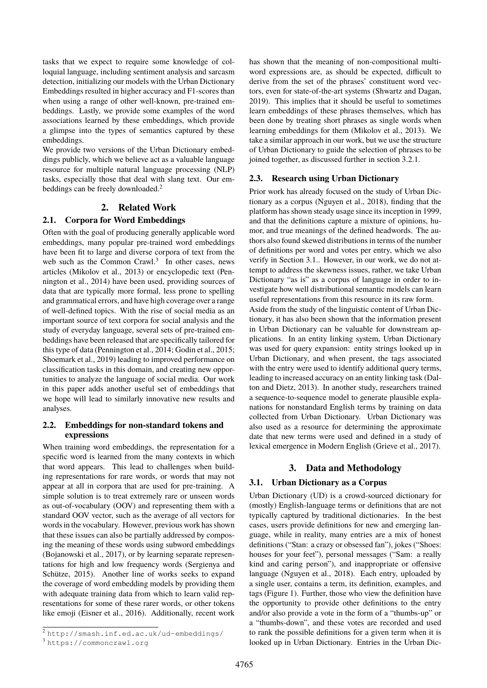tasks that we expect to require some knowledge of colloquial language, including sentiment analysis and sarcasm detection, initializing our models with the Urban Dictionary Embeddings resulted in higher accuracy and F1-scores than when using a range of other well-known, pre-trained embeddings. Lastly, we provide some examples of the word associations learned by these embeddings, which provide a glimpse into the types of semantics captured by these embeddings.

We provide two versions of the Urban Dictionary embeddings publicly, which we believe act as a valuable language resource for multiple natural language processing (NLP) tasks, especially those that deal with slang text. Our em-beddings can be freely downloaded.<sup>[2](#page-0-0)</sup>

### **2. Related Work**

#### **2.1. Corpora for Word Embeddings**

Often with the goal of producing generally applicable word embeddings, many popular pre-trained word embeddings have been fit to large and diverse corpora of text from the web such as the Common Crawl.<sup>[3](#page-0-0)</sup> In other cases, news articles [\(Mikolov et al., 2013\)](#page-0-0) or encyclopedic text [\(Pen](#page-0-0)[nington et al., 2014\)](#page-0-0) have been used, providing sources of data that are typically more formal, less prone to spelling and grammatical errors, and have high coverage over a range of well-defined topics. With the rise of social media as an important source of text corpora for social analysis and the study of everyday language, several sets of pre-trained embeddings have been released that are specifically tailored for this type of data [\(Pennington et al., 2014; Godin et al., 2015;](#page-0-0) [Shoemark et al., 2019\)](#page-0-0) leading to improved performance on classification tasks in this domain, and creating new opportunities to analyze the language of social media. Our work in this paper adds another useful set of embeddings that we hope will lead to similarly innovative new results and analyses.

### **2.2. Embeddings for non-standard tokens and expressions**

When training word embeddings, the representation for a specific word is learned from the many contexts in which that word appears. This lead to challenges when building representations for rare words, or words that may not appear at all in corpora that are used for pre-training. A simple solution is to treat extremely rare or unseen words as out-of-vocabulary (OOV) and representing them with a standard OOV vector, such as the average of all vectors for words in the vocabulary. However, previous work has shown that these issues can also be partially addressed by composing the meaning of these words using subword embeddings [\(Bojanowski et al., 2017\)](#page-0-0), or by learning separate representations for high and low frequency words [\(Sergienya and](#page-0-0) [Schütze, 2015\)](#page-0-0). Another line of works seeks to expand the coverage of word embedding models by providing them with adequate training data from which to learn valid representations for some of these rarer words, or other tokens like emoji [\(Eisner et al., 2016\)](#page-0-0). Additionally, recent work

has shown that the meaning of non-compositional multiword expressions are, as should be expected, difficult to derive from the set of the phrases' constituent word vectors, even for state-of-the-art systems [\(Shwartz and Dagan,](#page-0-0) [2019\)](#page-0-0). This implies that it should be useful to sometimes learn embeddings of these phrases themselves, which has been done by treating short phrases as single words when learning embeddings for them [\(Mikolov et al., 2013\)](#page-0-0). We take a similar approach in our work, but we use the structure of Urban Dictionary to guide the selection of phrases to be joined together, as discussed further in section [3.2.1.](#page-2-0)

#### **2.3. Research using Urban Dictionary**

Prior work has already focused on the study of Urban Dictionary as a corpus [\(Nguyen et al., 2018\)](#page-0-0), finding that the platform has shown steady usage since its inception in 1999, and that the definitions capture a mixture of opinions, humor, and true meanings of the defined headwords. The authors also found skewed distributions in terms of the number of definitions per word and votes per entry, which we also verify in Section [3.1..](#page-1-0) However, in our work, we do not attempt to address the skewness issues, rather, we take Urban Dictionary "as is" as a corpus of language in order to investigate how well distributional semantic models can learn useful representations from this resource in its raw form. Aside from the study of the linguistic content of Urban Dictionary, it has also been shown that the information present in Urban Dictionary can be valuable for downstream applications. In an entity linking system, Urban Dictionary was used for query expansion: entity strings looked up in Urban Dictionary, and when present, the tags associated with the entry were used to identify additional query terms, leading to increased accuracy on an entity linking task [\(Dal](#page-0-0)[ton and Dietz, 2013\)](#page-0-0). In another study, researchers trained a sequence-to-sequence model to generate plausible explanations for nonstandard English terms by training on data collected from Urban Dictionary. Urban Dictionary was also used as a resource for determining the approximate date that new terms were used and defined in a study of lexical emergence in Modern English [\(Grieve et al., 2017\)](#page-0-0).

## **3. Data and Methodology**

#### <span id="page-1-0"></span>**3.1. Urban Dictionary as a Corpus**

Urban Dictionary (UD) is a crowd-sourced dictionary for (mostly) English-language terms or definitions that are not typically captured by traditional dictionaries. In the best cases, users provide definitions for new and emerging language, while in reality, many entries are a mix of honest definitions ("Stan: a crazy or obsessed fan"), jokes ("Shoes: houses for your feet"), personal messages ("Sam: a really kind and caring person"), and inappropriate or offensive language [\(Nguyen et al., 2018\)](#page-0-0). Each entry, uploaded by a single user, contains a term, its definition, examples, and tags (Figure [1\)](#page-2-1). Further, those who view the definition have the opportunity to provide other definitions to the entry and/or also provide a vote in the form of a "thumbs-up" or a "thumbs-down", and these votes are recorded and used to rank the possible definitions for a given term when it is looked up in Urban Dictionary. Entries in the Urban Dic-

<sup>2</sup> <http://smash.inf.ed.ac.uk/ud-embeddings/>

<sup>3</sup> <https://commoncrawl.org>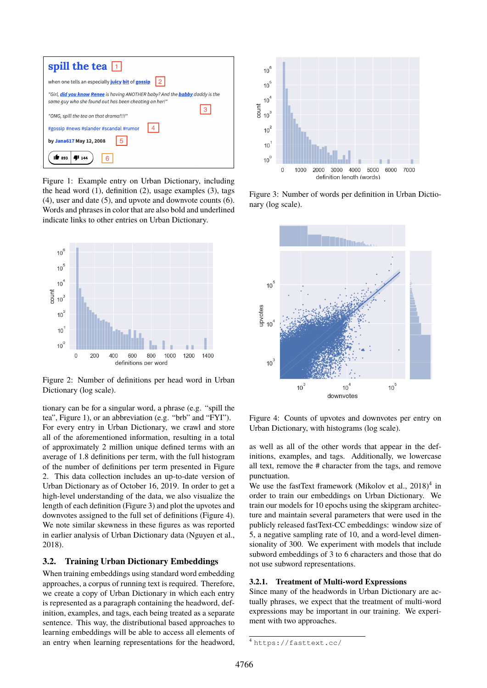| spill the tea $\boxed{1}$                                                                                                             |
|---------------------------------------------------------------------------------------------------------------------------------------|
| when one tells an especially juicy bit of gossip<br>l 2.                                                                              |
| "Girl, did you know Renee is having ANOTHER baby? And the babby daddy is the<br>same guy who she found out has been cheating on her!" |
| "OMG, spill the tea on that drama!!!!"                                                                                                |
| 4<br>#gossip #news #slander #scandal #rumor                                                                                           |
| by Jana617 May 12, 2008                                                                                                               |
| 893<br>U 144                                                                                                                          |

<span id="page-2-1"></span>Figure 1: Example entry on Urban Dictionary, including the head word  $(1)$ , definition  $(2)$ , usage examples  $(3)$ , tags (4), user and date (5), and upvote and downvote counts (6). Words and phrases in color that are also bold and underlined indicate links to other entries on Urban Dictionary.



<span id="page-2-2"></span>Figure 2: Number of definitions per head word in Urban Dictionary (log scale).

tionary can be for a singular word, a phrase (e.g. "spill the tea", Figure [1\)](#page-2-1), or an abbreviation (e.g. "brb" and "FYI"). For every entry in Urban Dictionary, we crawl and store all of the aforementioned information, resulting in a total of approximately 2 million unique defined terms with an average of 1.8 definitions per term, with the full histogram of the number of definitions per term presented in Figure [2.](#page-2-2) This data collection includes an up-to-date version of Urban Dictionary as of October 16, 2019. In order to get a high-level understanding of the data, we also visualize the length of each definition (Figure [3\)](#page-2-3) and plot the upvotes and downvotes assigned to the full set of definitions (Figure [4\)](#page-2-4). We note similar skewness in these figures as was reported in earlier analysis of Urban Dictionary data [\(Nguyen et al.,](#page-0-0) [2018\)](#page-0-0).

#### **3.2. Training Urban Dictionary Embeddings**

When training embeddings using standard word embedding approaches, a corpus of running text is required. Therefore, we create a copy of Urban Dictionary in which each entry is represented as a paragraph containing the headword, definition, examples, and tags, each being treated as a separate sentence. This way, the distributional based approaches to learning embeddings will be able to access all elements of an entry when learning representations for the headword,



<span id="page-2-3"></span>Figure 3: Number of words per definition in Urban Dictionary (log scale).



<span id="page-2-4"></span>Figure 4: Counts of upvotes and downvotes per entry on Urban Dictionary, with histograms (log scale).

as well as all of the other words that appear in the definitions, examples, and tags. Additionally, we lowercase all text, remove the # character from the tags, and remove punctuation.

We use the fastText framework (Mikolov et al.,  $2018$ )<sup>[4](#page-0-0)</sup> in order to train our embeddings on Urban Dictionary. We train our models for 10 epochs using the skipgram architecture and maintain several parameters that were used in the publicly released fastText-CC embeddings: window size of 5, a negative sampling rate of 10, and a word-level dimensionality of 300. We experiment with models that include subword embeddings of 3 to 6 characters and those that do not use subword representations.

#### <span id="page-2-0"></span>**3.2.1. Treatment of Multi-word Expressions**

Since many of the headwords in Urban Dictionary are actually phrases, we expect that the treatment of multi-word expressions may be important in our training. We experiment with two approaches.

<sup>4</sup> <https://fasttext.cc/>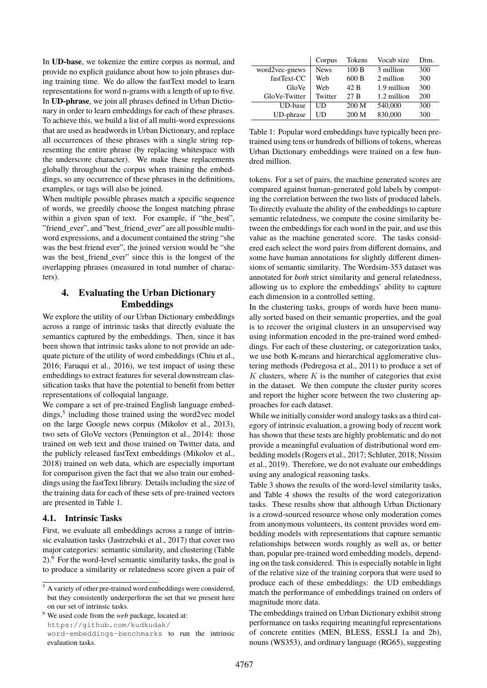In **UD-base**, we tokenize the entire corpus as normal, and provide no explicit guidance about how to join phrases during training time. We do allow the fastText model to learn representations for word n-grams with a length of up to five. In **UD-phrase**, we join all phrases defined in Urban Dictionary in order to learn embeddings for each of these phrases. To achieve this, we build a list of all multi-word expressions that are used as headwords in Urban Dictionary, and replace all occurrences of these phrases with a single string representing the entire phrase (by replacing whitespace with the underscore character). We make these replacements globally throughout the corpus when training the embeddings, so any occurrence of these phrases in the definitions, examples, or tags will also be joined.

When multiple possible phrases match a specific sequence of words, we greedily choose the longest matching phrase within a given span of text. For example, if "the\_best", "friend\_ever", and "best\_friend\_ever" are all possible multiword expressions, and a document contained the string "she was the best friend ever", the joined version would be "she was the best\_friend\_ever" since this is the longest of the overlapping phrases (measured in total number of characters).

## **4. Evaluating the Urban Dictionary Embeddings**

We explore the utility of our Urban Dictionary embeddings across a range of intrinsic tasks that directly evaluate the semantics captured by the embeddings. Then, since it has been shown that intrinsic tasks alone to not provide an adequate picture of the utility of word embeddings [\(Chiu et al.,](#page-0-0) [2016; Faruqui et al., 2016\)](#page-0-0), we test impact of using these embeddings to extract features for several downstream classification tasks that have the potential to benefit from better representations of colloquial language.

We compare a set of pre-trained English language embed-dings,<sup>[5](#page-0-0)</sup> including those trained using the word2vec model on the large Google news corpus [\(Mikolov et al., 2013\)](#page-0-0), two sets of GloVe vectors [\(Pennington et al., 2014\)](#page-0-0): those trained on web text and those trained on Twitter data, and the publicly released fastText embeddings [\(Mikolov et al.,](#page-0-0) [2018\)](#page-0-0) trained on web data, which are especially important for comparison given the fact that we also train our embeddings using the fastText library. Details including the size of the training data for each of these sets of pre-trained vectors are presented in Table [1.](#page-3-0)

#### **4.1. Intrinsic Tasks**

First, we evaluate all embeddings across a range of intrinsic evaluation tasks [\(Jastrzebski et al., 2017\)](#page-0-0) that cover two major categories: semantic similarity, and clustering (Table  $2)$ <sup>[6](#page-0-0)</sup>. For the word-level semantic similarity tasks, the goal is to produce a similarity or relatedness score given a pair of

<sup>6</sup> We used code from the *web* package, located at: [https://github.com/kudkudak/](https://github.com/kudkudak/word-embeddings-benchmarks) [word-embeddings-benchmarks](https://github.com/kudkudak/word-embeddings-benchmarks) to run the intrinsic evaluation tasks.

|                | Corpus      | <b>Tokens</b> | Vocab size    | Dim. |
|----------------|-------------|---------------|---------------|------|
| word2vec-gnews | <b>News</b> | 100B          | 3 million     | 300  |
| fastText-CC    | Web         | 600B          | 2 million     | 300  |
| GloVe          | Web         | 42 B          | 1.9 million   | 300  |
| GloVe-Twitter  | Twitter     | 27 B          | $1.2$ million | 200  |
| UD-base        | UD          | 200 M         | 540,000       | 300  |
| UD-phrase      | UD          | 200 M         | 830,000       | 300  |

<span id="page-3-0"></span>Table 1: Popular word embeddings have typically been pretrained using tens or hundreds of billions of tokens, whereas Urban Dictionary embeddings were trained on a few hundred million.

tokens. For a set of pairs, the machine generated scores are compared against human-generated gold labels by computing the correlation between the two lists of produced labels. To directly evaluate the ability of the embeddings to capture semantic relatedness, we compute the cosine similarity between the embeddings for each word in the pair, and use this value as the machine generated score. The tasks considered each select the word pairs from different domains, and some have human annotations for slightly different dimensions of semantic similarity. The Wordsim-353 dataset was annotated for *both* strict similarity and general relatedness, allowing us to explore the embeddings' ability to capture each dimension in a controlled setting.

In the clustering tasks, groups of words have been manually sorted based on their semantic properties, and the goal is to recover the original clusters in an unsupervised way using information encoded in the pre-trained word embeddings. For each of these clustering, or categorization tasks, we use both K-means and hierarchical agglomerative clustering methods [\(Pedregosa et al., 2011\)](#page-0-0) to produce a set of  $K$  clusters, where  $K$  is the number of categories that exist in the dataset. We then compute the cluster purity scores and report the higher score between the two clustering approaches for each dataset.

While we initially consider word analogy tasks as a third category of intrinsic evaluation, a growing body of recent work has shown that these tests are highly problematic and do not provide a meaningful evaluation of distributional word embedding models [\(Rogers et al., 2017; Schluter, 2018; Nissim](#page-0-0) [et al., 2019\)](#page-0-0). Therefore, we do not evaluate our embeddings using any analogical reasoning tasks.

Table [3](#page-4-1) shows the results of the word-level similarity tasks, and Table [4](#page-4-2) shows the results of the word categorization tasks. These results show that although Urban Dictionary is a crowd-sourced resource whose only moderation comes from anonymous volunteers, its content provides word embedding models with representations that capture semantic relationships between words roughly as well as, or better than, popular pre-trained word embedding models, depending on the task considered. This is especially notable in light of the relative size of the training corpora that were used to produce each of these embeddings: the UD embeddings match the performance of embeddings trained on orders of magnitude more data.

The embeddings trained on Urban Dictionary exhibit strong performance on tasks requiring meaningful representations of concrete entities (MEN, BLESS, ESSLI 1a and 2b), nouns (WS353), and ordinary language (RG65), suggesting

<sup>5</sup> A variety of other pre-trained word embeddings were considered, but they consistently underperform the set that we present here on our set of intrinsic tasks.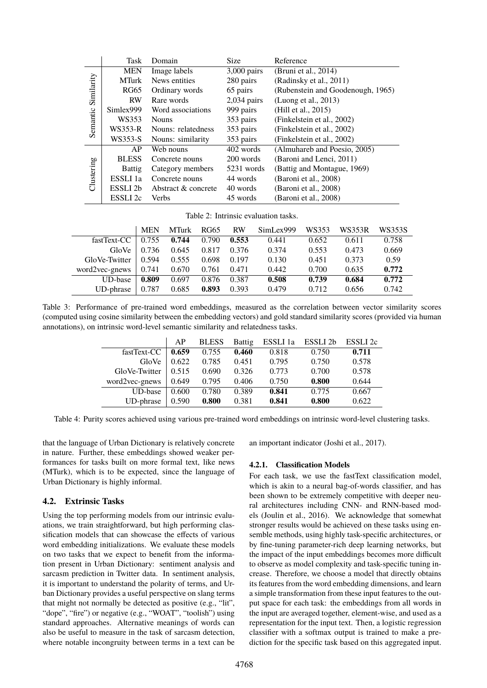|            | <b>Task</b>         | Domain              | Size          | Reference                         |
|------------|---------------------|---------------------|---------------|-----------------------------------|
| Similarity | <b>MEN</b>          | Image labels        | $3,000$ pairs | (Bruni et al., 2014)              |
|            | <b>MTurk</b>        | News entities       | 280 pairs     | (Radinsky et al., 2011)           |
|            | <b>RG65</b>         | Ordinary words      | 65 pairs      | (Rubenstein and Goodenough, 1965) |
|            | <b>RW</b>           | Rare words          | $2,034$ pairs | (Luong et al., 2013)              |
|            | Simlex999           | Word associations   | 999 pairs     | (Hill et al., 2015)               |
| Semantic   | WS353               | <b>Nouns</b>        | 353 pairs     | (Finkelstein et al., 2002)        |
|            | $WS353-R$           | Nouns: relatedness  | 353 pairs     | (Finkelstein et al., 2002)        |
|            | WS353-S             | Nouns: similarity   | 353 pairs     | (Finkelstein et al., 2002)        |
|            | AP                  | Web nouns           | 402 words     | (Almuhareb and Poesio, 2005)      |
|            | <b>BLESS</b>        | Concrete nouns      | 200 words     | (Baroni and Lenci, 2011)          |
| Clustering | <b>Battig</b>       | Category members    | 5231 words    | (Battig and Montague, 1969)       |
|            | ESSLI <sub>1a</sub> | Concrete nouns      | 44 words      | (Baroni et al., 2008)             |
|            | ESSLI 2b            | Abstract & concrete | 40 words      | (Baroni et al., 2008)             |
|            | ESSLI <sub>2c</sub> | Verbs               | 45 words      | (Baroni et al., 2008)             |

<span id="page-4-0"></span>Table 2: Intrinsic evaluation tasks.

|                | <b>MEN</b> | <b>MTurk</b> | RG65  | <b>RW</b> | SimLex999 | WS353 | WS353R | WS353S |
|----------------|------------|--------------|-------|-----------|-----------|-------|--------|--------|
| fastText-CC    | 0.755      | 0.744        | 0.790 | 0.553     | 0.441     | 0.652 | 0.611  | 0.758  |
| GloVe          | 0.736      | 0.645        | 0.817 | 0.376     | 0.374     | 0.553 | 0.473  | 0.669  |
| GloVe-Twitter  | 0.594      | 0.555        | 0.698 | 0.197     | 0.130     | 0.451 | 0.373  | 0.59   |
| word2vec-gnews | 0.741      | 0.670        | 0.761 | 0.471     | 0.442     | 0.700 | 0.635  | 0.772  |
| UD-base        | 0.809      | 0.697        | 0.876 | 0.387     | 0.508     | 0.739 | 0.684  | 0.772  |
| UD-phrase      | 0.787      | 0.685        | 0.893 | 0.393     | 0.479     | 0.712 | 0.656  | 0.742  |

<span id="page-4-1"></span>Table 3: Performance of pre-trained word embeddings, measured as the correlation between vector similarity scores (computed using cosine similarity between the embedding vectors) and gold standard similarity scores (provided via human annotations), on intrinsic word-level semantic similarity and relatedness tasks.

|                | AP    | <b>BLESS</b> | <b>Battig</b> | ESSLI 1a | ESSLI <sub>2b</sub> | ESSLI <sub>2c</sub> |
|----------------|-------|--------------|---------------|----------|---------------------|---------------------|
| fastText-CC    | 0.659 | 0.755        | 0.460         | 0.818    | 0.750               | 0.711               |
| GloVe          | 0.622 | 0.785        | 0.451         | 0.795    | 0.750               | 0.578               |
| GloVe-Twitter  | 0.515 | 0.690        | 0.326         | 0.773    | 0.700               | 0.578               |
| word2vec-gnews | 0.649 | 0.795        | 0.406         | 0.750    | 0.800               | 0.644               |
| <b>UD-base</b> | 0.600 | 0.780        | 0.389         | 0.841    | 0.775               | 0.667               |
| UD-phrase      | 0.590 | 0.800        | 0.381         | 0.841    | 0.800               | 0.622               |

<span id="page-4-2"></span>Table 4: Purity scores achieved using various pre-trained word embeddings on intrinsic word-level clustering tasks.

that the language of Urban Dictionary is relatively concrete in nature. Further, these embeddings showed weaker performances for tasks built on more formal text, like news (MTurk), which is to be expected, since the language of Urban Dictionary is highly informal.

#### **4.2. Extrinsic Tasks**

Using the top performing models from our intrinsic evaluations, we train straightforward, but high performing classification models that can showcase the effects of various word embedding initializations. We evaluate these models on two tasks that we expect to benefit from the information present in Urban Dictionary: sentiment analysis and sarcasm prediction in Twitter data. In sentiment analysis, it is important to understand the polarity of terms, and Urban Dictionary provides a useful perspective on slang terms that might not normally be detected as positive (e.g., "lit", "dope", "fire") or negative (e.g., "WOAT", "toolish") using standard approaches. Alternative meanings of words can also be useful to measure in the task of sarcasm detection, where notable incongruity between terms in a text can be

an important indicator [\(Joshi et al., 2017\)](#page-0-0).

#### **4.2.1. Classification Models**

For each task, we use the fastText classification model, which is akin to a neural bag-of-words classifier, and has been shown to be extremely competitive with deeper neural architectures including CNN- and RNN-based models [\(Joulin et al., 2016\)](#page-0-0). We acknowledge that somewhat stronger results would be achieved on these tasks using ensemble methods, using highly task-specific architectures, or by fine-tuning parameter-rich deep learning networks, but the impact of the input embeddings becomes more difficult to observe as model complexity and task-specific tuning increase. Therefore, we choose a model that directly obtains its features from the word embedding dimensions, and learn a simple transformation from these input features to the output space for each task: the embeddings from all words in the input are averaged together, element-wise, and used as a representation for the input text. Then, a logistic regression classifier with a softmax output is trained to make a prediction for the specific task based on this aggregated input.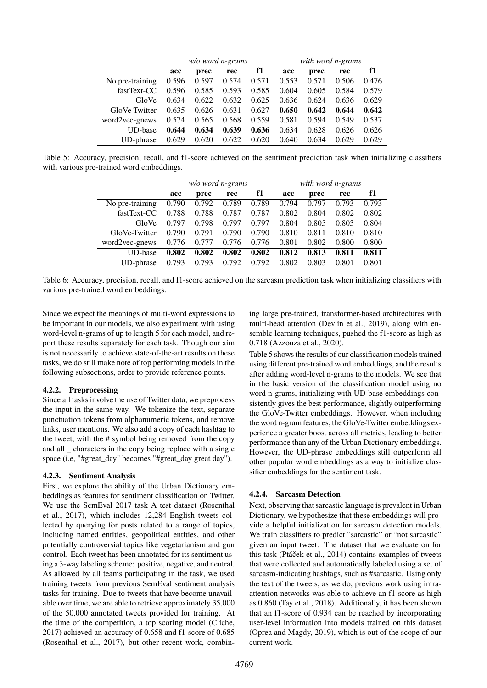|                 | w/o word n-grams |       |       |       | with word n-grams |       |       |       |
|-----------------|------------------|-------|-------|-------|-------------------|-------|-------|-------|
|                 | acc              | prec  | rec   | f1    | acc               | prec  | rec   | f1    |
| No pre-training | 0.596            | 0.597 | 0.574 | 0.571 | 0.553             | 0.571 | 0.506 | 0.476 |
| fastText-CC     | 0.596            | 0.585 | 0.593 | 0.585 | 0.604             | 0.605 | 0.584 | 0.579 |
| GloVe           | 0.634            | 0.622 | 0.632 | 0.625 | 0.636             | 0.624 | 0.636 | 0.629 |
| GloVe-Twitter   | 0.635            | 0.626 | 0.631 | 0.627 | 0.650             | 0.642 | 0.644 | 0.642 |
| word2vec-gnews  | 0.574            | 0.565 | 0.568 | 0.559 | 0.581             | 0.594 | 0.549 | 0.537 |
| UD-base         | 0.644            | 0.634 | 0.639 | 0.636 | 0.634             | 0.628 | 0.626 | 0.626 |
| UD-phrase       | 0.629            | 0.620 | 0.622 | 0.620 | 0.640             | 0.634 | 0.629 | 0.629 |

<span id="page-5-0"></span>Table 5: Accuracy, precision, recall, and f1-score achieved on the sentiment prediction task when initializing classifiers with various pre-trained word embeddings.

|                 | w/o word n-grams |                   |       |       | with word n-grams |       |       |       |
|-----------------|------------------|-------------------|-------|-------|-------------------|-------|-------|-------|
|                 | acc              | f1<br>prec<br>rec |       |       | acc               | prec  | rec   | f1    |
| No pre-training | 0.790            | 0.792             | 0.789 | 0.789 | 0.794             | 0.797 | 0.793 | 0.793 |
| fastText-CC     | 0.788            | 0.788             | 0.787 | 0.787 | 0.802             | 0.804 | 0.802 | 0.802 |
| GloVe           | 0.797            | 0.798             | 0.797 | 0.797 | 0.804             | 0.805 | 0.803 | 0.804 |
| GloVe-Twitter   | 0.790            | 0.791             | 0.790 | 0.790 | 0.810             | 0.811 | 0.810 | 0.810 |
| word2vec-gnews  | 0.776            | 0.777             | 0.776 | 0.776 | 0.801             | 0.802 | 0.800 | 0.800 |
| <b>UD-base</b>  | 0.802            | 0.802             | 0.802 | 0.802 | 0.812             | 0.813 | 0.811 | 0.811 |
| UD-phrase       | 0.793            | 0.793             | 0.792 | 0.792 | 0.802             | 0.803 | 0.801 | 0.801 |

<span id="page-5-1"></span>Table 6: Accuracy, precision, recall, and f1-score achieved on the sarcasm prediction task when initializing classifiers with various pre-trained word embeddings.

Since we expect the meanings of multi-word expressions to be important in our models, we also experiment with using word-level n-grams of up to length 5 for each model, and report these results separately for each task. Though our aim is not necessarily to achieve state-of-the-art results on these tasks, we do still make note of top performing models in the following subsections, order to provide reference points.

#### **4.2.2. Preprocessing**

Since all tasks involve the use of Twitter data, we preprocess the input in the same way. We tokenize the text, separate punctuation tokens from alphanumeric tokens, and remove links, user mentions. We also add a copy of each hashtag to the tweet, with the # symbol being removed from the copy and all \_ characters in the copy being replace with a single space (i.e, "#great\_day" becomes "#great\_day great day").

#### <span id="page-5-2"></span>**4.2.3. Sentiment Analysis**

First, we explore the ability of the Urban Dictionary embeddings as features for sentiment classification on Twitter. We use the SemEval 2017 task A test dataset [\(Rosenthal](#page-0-0) [et al., 2017\)](#page-0-0), which includes 12,284 English tweets collected by querying for posts related to a range of topics, including named entities, geopolitical entities, and other potentially controversial topics like vegetarianism and gun control. Each tweet has been annotated for its sentiment using a 3-way labeling scheme: positive, negative, and neutral. As allowed by all teams participating in the task, we used training tweets from previous SemEval sentiment analysis tasks for training. Due to tweets that have become unavailable over time, we are able to retrieve approximately 35,000 of the 50,000 annotated tweets provided for training. At the time of the competition, a top scoring model [\(Cliche,](#page-0-0) [2017\)](#page-0-0) achieved an accuracy of 0.658 and f1-score of 0.685 [\(Rosenthal et al., 2017\)](#page-0-0), but other recent work, combining large pre-trained, transformer-based architectures with multi-head attention [\(Devlin et al., 2019\)](#page-0-0), along with ensemble learning techniques, pushed the f1-score as high as 0.718 [\(Azzouza et al., 2020\)](#page-0-0).

Table [5](#page-5-0) shows the results of our classification models trained using different pre-trained word embeddings, and the results after adding word-level n-grams to the models. We see that in the basic version of the classification model using no word n-grams, initializing with UD-base embeddings consistently gives the best performance, slightly outperforming the GloVe-Twitter embeddings. However, when including the word n-gram features, the GloVe-Twitter embeddings experience a greater boost across all metrics, leading to better performance than any of the Urban Dictionary embeddings. However, the UD-phrase embeddings still outperform all other popular word embeddings as a way to initialize classifier embeddings for the sentiment task.

#### **4.2.4. Sarcasm Detection**

Next, observing that sarcastic language is prevalent in Urban Dictionary, we hypothesize that these embeddings will provide a helpful initialization for sarcasm detection models. We train classifiers to predict "sarcastic" or "not sarcastic" given an input tweet. The dataset that we evaluate on for this task [\(Ptáček et al., 2014\)](#page-0-0) contains examples of tweets that were collected and automatically labeled using a set of sarcasm-indicating hashtags, such as #sarcastic. Using only the text of the tweets, as we do, previous work using intraattention networks was able to achieve an f1-score as high as 0.860 [\(Tay et al., 2018\)](#page-0-0). Additionally, it has been shown that an f1-score of 0.934 can be reached by incorporating user-level information into models trained on this dataset [\(Oprea and Magdy, 2019\)](#page-0-0), which is out of the scope of our current work.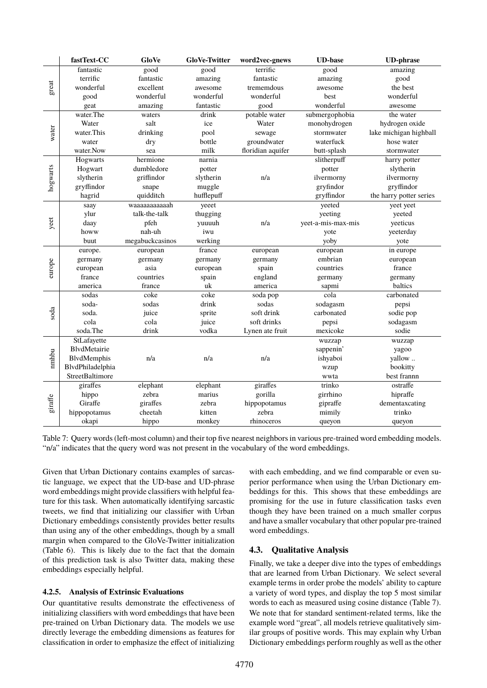|          | fastText-CC      | GloVe           | <b>GloVe-Twitter</b> | word2vec-gnews    | <b>UD-base</b>     | <b>UD-phrase</b>        |
|----------|------------------|-----------------|----------------------|-------------------|--------------------|-------------------------|
|          | fantastic        | good            | good                 | terrific          | good               | amazing                 |
|          | terrific         | fantastic       | amazing              | fantastic         | amazing            | good                    |
| great    | wonderful        | excellent       | awesome              | trememdous        | awesome            | the best                |
|          | good             | wonderful       | wonderful            | wonderful         | best               | wonderful               |
|          | geat             | amazing         | fantastic            | good              | wonderful          | awesome                 |
|          | water.The        | waters          | drink                | potable water     | submergophobia     | the water               |
|          | Water            | salt            | ice                  | Water             | monohydrogen       | hydrogen oxide          |
| water    | water. This      | drinking        | pool                 | sewage            | stormwater         | lake michigan highball  |
|          | water            | dry             | bottle               | groundwater       | waterfuck          | hose water              |
|          | water.Now        | sea             | milk                 | floridian aquifer | butt-splash        | stormwater              |
|          | Hogwarts         | hermione        | narnia               |                   | slitherpuff        | harry potter            |
| hogwarts | Hogwart          | dumbledore      | potter               |                   | potter             | slytherin               |
|          | slytherin        | griffindor      | slytherin            | n/a               | ilvermorny         | ilvermorny              |
|          | gryffindor       | snape           | muggle               |                   | gryfindor          | gryffindor              |
|          | hagrid           | quidditch       | hufflepuff           |                   | gryffindor         | the harry potter series |
|          | saay             | waaaaaaaaaaah   | yeeet                |                   | yeeted             | yeet yeet               |
|          | ylur             | talk-the-talk   | thugging             |                   | yeeting            | yeeted                  |
| yeet     | daay             | pfeh            | yuuuuh               | n/a               | yeet-a-mis-max-mis | yeeticus                |
|          | howw             | nah-uh          | iwu                  |                   | yote               | yeeterday               |
|          | buut             | megabuckcasinos | werking              |                   | yoby               | yote                    |
|          | europe.          | european        | france               | european          | european           | in europe               |
|          | germany          | germany         | germany              | germany           | embrian            | european                |
| europe   | european         | asia            | european             | spain             | countries          | france                  |
|          | france           | countries       | spain                | england           | germany            | germany                 |
|          | america          | france          | uk                   | america           | sapmi              | baltics                 |
|          | sodas            | coke            | coke                 | soda pop          | cola               | carbonated              |
|          | soda-            | sodas           | drink                | sodas             | sodagasm           | pepsi                   |
| soda     | soda.            | juice           | sprite               | soft drink        | carbonated         | sodie pop               |
|          | cola             | cola            | juice                | soft drinks       | pepsi              | sodagasm                |
|          | soda.The         | drink           | vodka                | Lynen ate fruit   | mexicoke           | sodie                   |
|          | StLafayette      |                 |                      |                   | wuzzap             | wuzzap                  |
|          | BlvdMetairie     |                 |                      |                   | sappenin'          | yagoo                   |
| nmhbu    | BlvdMemphis      | n/a             | n/a                  | n/a               | ishyaboi           | yallow                  |
|          | BlvdPhiladelphia |                 |                      |                   | wzup               | bookitty                |
|          | StreetBaltimore  |                 |                      |                   | wwta               | best frannn             |
|          | giraffes         | elephant        | elephant             | giraffes          | trinko             | ostraffe                |
|          | hippo            | zebra           | marius               | gorilla           | girrhino           | hipraffe                |
| giraffe  | Giraffe          | giraffes        | zebra                | hippopotamus      | gipraffe           | dementaxcating          |
|          | hippopotamus     | cheetah         | kitten               | zebra             | mimily             | trinko                  |
|          | okapi            | hippo           | monkey               | rhinoceros        | queyon             | queyon                  |

<span id="page-6-0"></span>Table 7: Query words (left-most column) and their top five nearest neighbors in various pre-trained word embedding models. "n/a" indicates that the query word was not present in the vocabulary of the word embeddings.

Given that Urban Dictionary contains examples of sarcastic language, we expect that the UD-base and UD-phrase word embeddings might provide classifiers with helpful feature for this task. When automatically identifying sarcastic tweets, we find that initializing our classifier with Urban Dictionary embeddings consistently provides better results than using any of the other embeddings, though by a small margin when compared to the GloVe-Twitter initialization (Table [6\)](#page-5-1). This is likely due to the fact that the domain of this prediction task is also Twitter data, making these embeddings especially helpful.

#### **4.2.5. Analysis of Extrinsic Evaluations**

Our quantitative results demonstrate the effectiveness of initializing classifiers with word embeddings that have been pre-trained on Urban Dictionary data. The models we use directly leverage the embedding dimensions as features for classification in order to emphasize the effect of initializing

with each embedding, and we find comparable or even superior performance when using the Urban Dictionary embeddings for this. This shows that these embeddings are promising for the use in future classification tasks even though they have been trained on a much smaller corpus and have a smaller vocabulary that other popular pre-trained word embeddings.

### **4.3. Qualitative Analysis**

Finally, we take a deeper dive into the types of embeddings that are learned from Urban Dictionary. We select several example terms in order probe the models' ability to capture a variety of word types, and display the top 5 most similar words to each as measured using cosine distance (Table [7\)](#page-6-0). We note that for standard sentiment-related terms, like the example word "great", all models retrieve qualitatively similar groups of positive words. This may explain why Urban Dictionary embeddings perform roughly as well as the other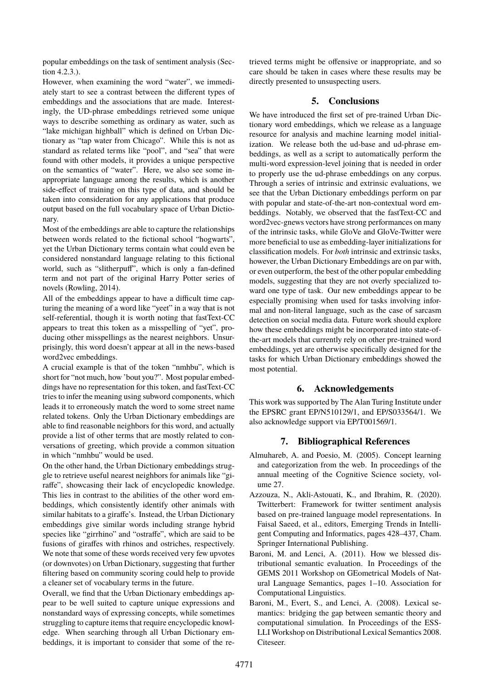popular embeddings on the task of sentiment analysis (Section [4.2.3.\)](#page-5-2).

However, when examining the word "water", we immediately start to see a contrast between the different types of embeddings and the associations that are made. Interestingly, the UD-phrase embeddings retrieved some unique ways to describe something as ordinary as water, such as "lake michigan highball" which is defined on Urban Dictionary as "tap water from Chicago". While this is not as standard as related terms like "pool", and "sea" that were found with other models, it provides a unique perspective on the semantics of "water". Here, we also see some inappropriate language among the results, which is another side-effect of training on this type of data, and should be taken into consideration for any applications that produce output based on the full vocabulary space of Urban Dictionary.

Most of the embeddings are able to capture the relationships between words related to the fictional school "hogwarts", yet the Urban Dictionary terms contain what could even be considered nonstandard language relating to this fictional world, such as "slitherpuff", which is only a fan-defined term and not part of the original Harry Potter series of novels [\(Rowling, 2014\)](#page-0-0).

All of the embeddings appear to have a difficult time capturing the meaning of a word like "yeet" in a way that is not self-referential, though it is worth noting that fastText-CC appears to treat this token as a misspelling of "yet", producing other misspellings as the nearest neighbors. Unsurprisingly, this word doesn't appear at all in the news-based word2vec embeddings.

A crucial example is that of the token "nmhbu", which is short for "not much, how 'bout you?". Most popular embeddings have no representation for this token, and fastText-CC tries to infer the meaning using subword components, which leads it to erroneously match the word to some street name related tokens. Only the Urban Dictionary embeddings are able to find reasonable neighbors for this word, and actually provide a list of other terms that are mostly related to conversations of greeting, which provide a common situation in which "nmhbu" would be used.

On the other hand, the Urban Dictionary embeddings struggle to retrieve useful nearest neighbors for animals like "giraffe", showcasing their lack of encyclopedic knowledge. This lies in contrast to the abilities of the other word embeddings, which consistently identify other animals with similar habitats to a giraffe's. Instead, the Urban Dictionary embeddings give similar words including strange hybrid species like "girrhino" and "ostraffe", which are said to be fusions of giraffes with rhinos and ostriches, respectively. We note that some of these words received very few upvotes (or downvotes) on Urban Dictionary, suggesting that further filtering based on community scoring could help to provide a cleaner set of vocabulary terms in the future.

Overall, we find that the Urban Dictionary embeddings appear to be well suited to capture unique expressions and nonstandard ways of expressing concepts, while sometimes struggling to capture items that require encyclopedic knowledge. When searching through all Urban Dictionary embeddings, it is important to consider that some of the retrieved terms might be offensive or inappropriate, and so care should be taken in cases where these results may be directly presented to unsuspecting users.

## **5. Conclusions**

We have introduced the first set of pre-trained Urban Dictionary word embeddings, which we release as a language resource for analysis and machine learning model initialization. We release both the ud-base and ud-phrase embeddings, as well as a script to automatically perform the multi-word expression-level joining that is needed in order to properly use the ud-phrase embeddings on any corpus. Through a series of intrinsic and extrinsic evaluations, we see that the Urban Dictionary embeddings perform on par with popular and state-of-the-art non-contextual word embeddings. Notably, we observed that the fastText-CC and word2vec-gnews vectors have strong performances on many of the intrinsic tasks, while GloVe and GloVe-Twitter were more beneficial to use as embedding-layer initializations for classification models. For *both* intrinsic and extrinsic tasks, however, the Urban Dictionary Embeddings are on par with, or even outperform, the best of the other popular embedding models, suggesting that they are not overly specialized toward one type of task. Our new embeddings appear to be especially promising when used for tasks involving informal and non-literal language, such as the case of sarcasm detection on social media data. Future work should explore how these embeddings might be incorporated into state-ofthe-art models that currently rely on other pre-trained word embeddings, yet are otherwise specifically designed for the tasks for which Urban Dictionary embeddings showed the most potential.

#### **6. Acknowledgements**

This work was supported by The Alan Turing Institute under the EPSRC grant EP/N510129/1, and EP/S033564/1. We also acknowledge support via EP/T001569/1.

## **7. Bibliographical References**

- Almuhareb, A. and Poesio, M. (2005). Concept learning and categorization from the web. In proceedings of the annual meeting of the Cognitive Science society, volume 27.
- Azzouza, N., Akli-Astouati, K., and Ibrahim, R. (2020). Twitterbert: Framework for twitter sentiment analysis based on pre-trained language model representations. In Faisal Saeed, et al., editors, Emerging Trends in Intelligent Computing and Informatics, pages 428–437, Cham. Springer International Publishing.
- Baroni, M. and Lenci, A. (2011). How we blessed distributional semantic evaluation. In Proceedings of the GEMS 2011 Workshop on GEometrical Models of Natural Language Semantics, pages 1–10. Association for Computational Linguistics.
- Baroni, M., Evert, S., and Lenci, A. (2008). Lexical semantics: bridging the gap between semantic theory and computational simulation. In Proceedings of the ESS-LLI Workshop on Distributional Lexical Semantics 2008. Citeseer.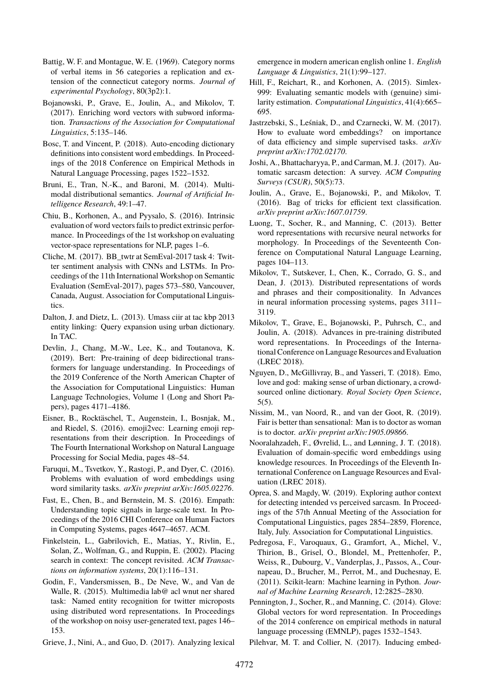- Battig, W. F. and Montague, W. E. (1969). Category norms of verbal items in 56 categories a replication and extension of the connecticut category norms. *Journal of experimental Psychology*, 80(3p2):1.
- Bojanowski, P., Grave, E., Joulin, A., and Mikolov, T. (2017). Enriching word vectors with subword information. *Transactions of the Association for Computational Linguistics*, 5:135–146.
- Bosc, T. and Vincent, P. (2018). Auto-encoding dictionary definitions into consistent word embeddings. In Proceedings of the 2018 Conference on Empirical Methods in Natural Language Processing, pages 1522–1532.
- Bruni, E., Tran, N.-K., and Baroni, M. (2014). Multimodal distributional semantics. *Journal of Artificial Intelligence Research*, 49:1–47.
- Chiu, B., Korhonen, A., and Pyysalo, S. (2016). Intrinsic evaluation of word vectors fails to predict extrinsic performance. In Proceedings of the 1st workshop on evaluating vector-space representations for NLP, pages 1–6.
- Cliche, M. (2017). BB\_twtr at SemEval-2017 task 4: Twitter sentiment analysis with CNNs and LSTMs. In Proceedings of the 11th International Workshop on Semantic Evaluation (SemEval-2017), pages 573–580, Vancouver, Canada, August. Association for Computational Linguistics.
- Dalton, J. and Dietz, L. (2013). Umass ciir at tac kbp 2013 entity linking: Query expansion using urban dictionary. In TAC.
- Devlin, J., Chang, M.-W., Lee, K., and Toutanova, K. (2019). Bert: Pre-training of deep bidirectional transformers for language understanding. In Proceedings of the 2019 Conference of the North American Chapter of the Association for Computational Linguistics: Human Language Technologies, Volume 1 (Long and Short Papers), pages 4171–4186.
- Eisner, B., Rocktäschel, T., Augenstein, I., Bosnjak, M., and Riedel, S. (2016). emoji2vec: Learning emoji representations from their description. In Proceedings of The Fourth International Workshop on Natural Language Processing for Social Media, pages 48–54.
- Faruqui, M., Tsvetkov, Y., Rastogi, P., and Dyer, C. (2016). Problems with evaluation of word embeddings using word similarity tasks. *arXiv preprint arXiv:1605.02276*.
- Fast, E., Chen, B., and Bernstein, M. S. (2016). Empath: Understanding topic signals in large-scale text. In Proceedings of the 2016 CHI Conference on Human Factors in Computing Systems, pages 4647–4657. ACM.
- Finkelstein, L., Gabrilovich, E., Matias, Y., Rivlin, E., Solan, Z., Wolfman, G., and Ruppin, E. (2002). Placing search in context: The concept revisited. *ACM Transactions on information systems*, 20(1):116–131.
- Godin, F., Vandersmissen, B., De Neve, W., and Van de Walle, R. (2015). Multimedia lab@ acl wnut ner shared task: Named entity recognition for twitter microposts using distributed word representations. In Proceedings of the workshop on noisy user-generated text, pages 146– 153.
- Grieve, J., Nini, A., and Guo, D. (2017). Analyzing lexical

emergence in modern american english online 1. *English Language & Linguistics*, 21(1):99–127.

- Hill, F., Reichart, R., and Korhonen, A. (2015). Simlex-999: Evaluating semantic models with (genuine) similarity estimation. *Computational Linguistics*, 41(4):665– 695.
- Jastrzebski, S., Leśniak, D., and Czarnecki, W. M. (2017). How to evaluate word embeddings? on importance of data efficiency and simple supervised tasks. *arXiv preprint arXiv:1702.02170*.
- Joshi, A., Bhattacharyya, P., and Carman, M. J. (2017). Automatic sarcasm detection: A survey. *ACM Computing Surveys (CSUR)*, 50(5):73.
- Joulin, A., Grave, E., Bojanowski, P., and Mikolov, T. (2016). Bag of tricks for efficient text classification. *arXiv preprint arXiv:1607.01759*.
- Luong, T., Socher, R., and Manning, C. (2013). Better word representations with recursive neural networks for morphology. In Proceedings of the Seventeenth Conference on Computational Natural Language Learning, pages 104–113.
- Mikolov, T., Sutskever, I., Chen, K., Corrado, G. S., and Dean, J. (2013). Distributed representations of words and phrases and their compositionality. In Advances in neural information processing systems, pages 3111– 3119.
- Mikolov, T., Grave, E., Bojanowski, P., Puhrsch, C., and Joulin, A. (2018). Advances in pre-training distributed word representations. In Proceedings of the International Conference on Language Resources and Evaluation (LREC 2018).
- Nguyen, D., McGillivray, B., and Yasseri, T. (2018). Emo, love and god: making sense of urban dictionary, a crowdsourced online dictionary. *Royal Society Open Science*, 5(5).
- Nissim, M., van Noord, R., and van der Goot, R. (2019). Fair is better than sensational: Man is to doctor as woman is to doctor. *arXiv preprint arXiv:1905.09866*.
- Nooralahzadeh, F., Øvrelid, L., and Lønning, J. T. (2018). Evaluation of domain-specific word embeddings using knowledge resources. In Proceedings of the Eleventh International Conference on Language Resources and Evaluation (LREC 2018).
- Oprea, S. and Magdy, W. (2019). Exploring author context for detecting intended vs perceived sarcasm. In Proceedings of the 57th Annual Meeting of the Association for Computational Linguistics, pages 2854–2859, Florence, Italy, July. Association for Computational Linguistics.
- Pedregosa, F., Varoquaux, G., Gramfort, A., Michel, V., Thirion, B., Grisel, O., Blondel, M., Prettenhofer, P., Weiss, R., Dubourg, V., Vanderplas, J., Passos, A., Cournapeau, D., Brucher, M., Perrot, M., and Duchesnay, E. (2011). Scikit-learn: Machine learning in Python. *Journal of Machine Learning Research*, 12:2825–2830.
- Pennington, J., Socher, R., and Manning, C. (2014). Glove: Global vectors for word representation. In Proceedings of the 2014 conference on empirical methods in natural language processing (EMNLP), pages 1532–1543.

Pilehvar, M. T. and Collier, N. (2017). Inducing embed-